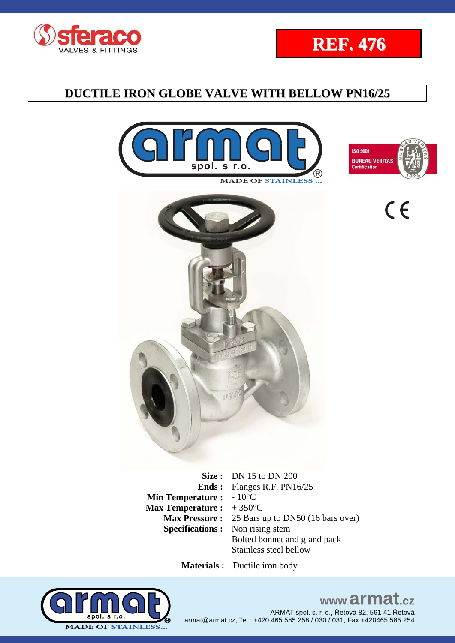











**Size :** DN 15 to DN 200 **Ends :**  Flanges R.F. PN16/25 **Min Temperature :** - 10<sup>°</sup>C **Max Temperature :**  + 350°C **Max Pressure :** 25 Bars up to DN50 (16 bars over) **Specifications :** Non rising stem Bolted bonnet and gland pack Stainless steel bellow

 **Materials :** Ductile iron body



# www.armat.cz

ARMAT spol. s. r. o., Řetová 82, 561 41 Řetová armat@armat.cz, Tel.: +420 465 585 258 / 030 / 031, Fax +420465 585 254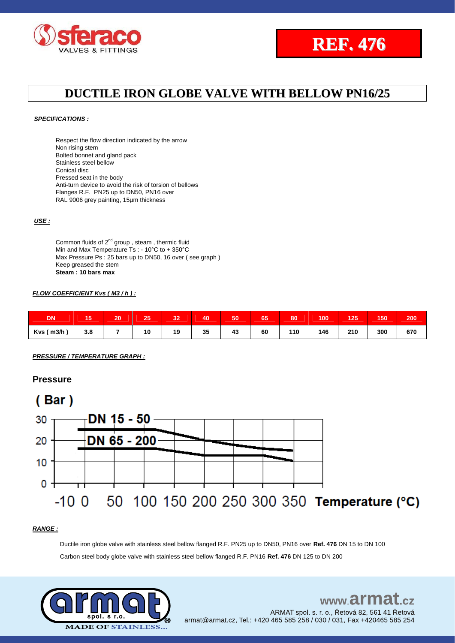



#### *SPECIFICATIONS :*

Respect the flow direction indicated by the arrow Non rising stem Bolted bonnet and gland pack Stainless steel bellow Conical disc Pressed seat in the body Anti-turn device to avoid the risk of torsion of bellows Flanges R.F. PN25 up to DN50, PN16 over RAL 9006 grey painting, 15µm thickness

#### *USE :*

Common fluids of  $2^{nd}$  group, steam, thermic fluid Min and Max Temperature Ts : - 10°C to + 350°C Max Pressure Ps : 25 bars up to DN50, 16 over ( see graph ) Keep greased the stem **Steam : 10 bars max**

#### *FLOW COEFFICIENT Kvs ( M3 / h ) :*

| <b>DN</b>    | . .<br>ю | 20 | 25 | 32 | 40 | 50 | 65 | 80  | 100 | 125 | 150 | 200 |
|--------------|----------|----|----|----|----|----|----|-----|-----|-----|-----|-----|
| $Kvs$ ( m3/h | 3.8      |    | 10 | 19 | 35 | 43 | 60 | 110 | 146 | 210 | 300 | 670 |

*PRESSURE / TEMPERATURE GRAPH :*

#### **Pressure**



#### *RANGE :*

Ductile iron globe valve with stainless steel bellow flanged R.F. PN25 up to DN50, PN16 over **Ref. 476** DN 15 to DN 100 Carbon steel body globe valve with stainless steel bellow flanged R.F. PN16 **Ref. 476** DN 125 to DN 200



### www.armat.cz ARMAT spol. s. r. o., Řetová 82, 561 41 Řetová armat@armat.cz, Tel.: +420 465 585 258 / 030 / 031, Fax +420465 585 254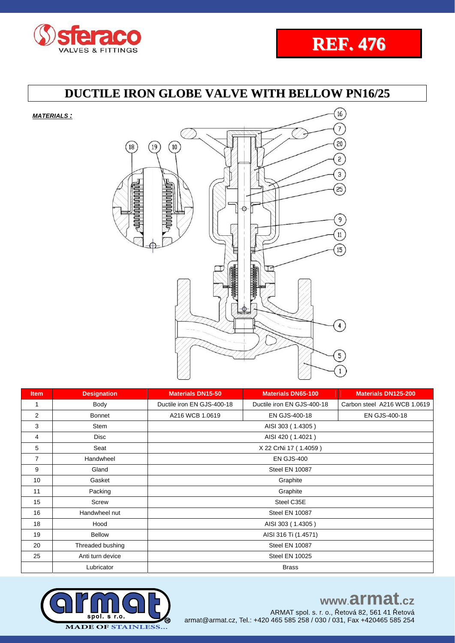



*MATERIALS :*



| <b>Item</b>    | <b>Designation</b> | <b>Materials DN15-50</b>   | <b>Materials DN65-100</b>  | <b>Materials DN125-200</b>   |  |  |  |  |  |  |
|----------------|--------------------|----------------------------|----------------------------|------------------------------|--|--|--|--|--|--|
| $\mathbf{1}$   | Body               | Ductile iron EN GJS-400-18 | Ductile iron EN GJS-400-18 | Carbon steel A216 WCB 1.0619 |  |  |  |  |  |  |
| 2              | <b>Bonnet</b>      | A216 WCB 1.0619            | EN GJS-400-18              | EN GJS-400-18                |  |  |  |  |  |  |
| 3              | <b>Stem</b>        | AISI 303 (1.4305)          |                            |                              |  |  |  |  |  |  |
| 4              | <b>Disc</b>        | AISI 420 (1.4021)          |                            |                              |  |  |  |  |  |  |
| 5              | Seat               | X 22 CrNi 17 (1.4059)      |                            |                              |  |  |  |  |  |  |
| $\overline{7}$ | Handwheel          |                            | <b>EN GJS-400</b>          |                              |  |  |  |  |  |  |
| 9              | Gland              | Steel EN 10087             |                            |                              |  |  |  |  |  |  |
| 10             | Gasket             | Graphite                   |                            |                              |  |  |  |  |  |  |
| 11             | Packing            | Graphite                   |                            |                              |  |  |  |  |  |  |
| 15             | Screw              | Steel C35E                 |                            |                              |  |  |  |  |  |  |
| 16             | Handwheel nut      | Steel EN 10087             |                            |                              |  |  |  |  |  |  |
| 18             | Hood               | AISI 303 (1.4305)          |                            |                              |  |  |  |  |  |  |
| 19             | <b>Bellow</b>      | AISI 316 Ti (1.4571)       |                            |                              |  |  |  |  |  |  |
| 20             | Threaded bushing   | Steel EN 10087             |                            |                              |  |  |  |  |  |  |
| 25             | Anti turn device   |                            | <b>Steel EN 10025</b>      |                              |  |  |  |  |  |  |
|                | Lubricator         | <b>Brass</b>               |                            |                              |  |  |  |  |  |  |



www.armat.cz

ARMAT spol. s. r. o., Řetová 82, 561 41 Řetová armat@armat.cz, Tel.: +420 465 585 258 / 030 / 031, Fax +420465 585 254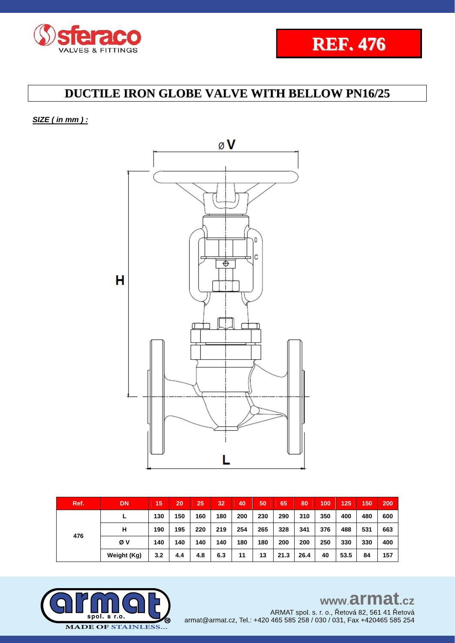



*SIZE ( in mm ) :* 



| Ref. | <b>DN</b>   | 15  | 20  | 25  | 32  | 40  | 50  | 65   | 80   | 100 | 125  | 150 | 200 |
|------|-------------|-----|-----|-----|-----|-----|-----|------|------|-----|------|-----|-----|
| 476  |             | 130 | 150 | 160 | 180 | 200 | 230 | 290  | 310  | 350 | 400  | 480 | 600 |
|      | н           | 190 | 195 | 220 | 219 | 254 | 265 | 328  | 341  | 376 | 488  | 531 | 663 |
|      | Øν          | 140 | 140 | 140 | 140 | 180 | 180 | 200  | 200  | 250 | 330  | 330 | 400 |
|      | Weight (Kg) | 3.2 | 4.4 | 4.8 | 6.3 | 11  | 13  | 21.3 | 26.4 | 40  | 53.5 | 84  | 157 |

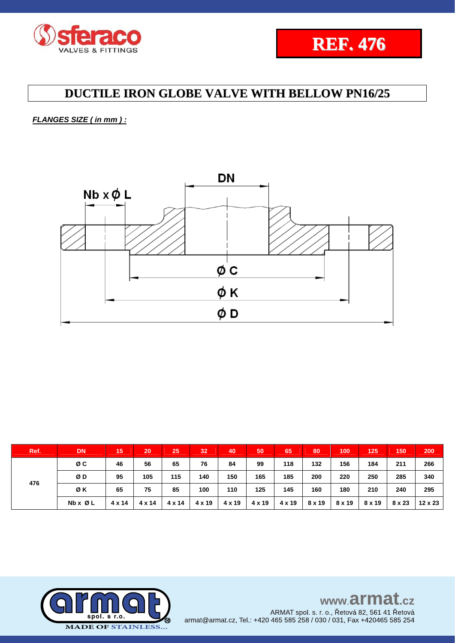

*FLANGES SIZE ( in mm ) :*



| Ref. | <b>DN</b>               | 15            | 20     | 25            | 32     | 40     | 50     | 65     | 80     | 100    | 125    | 150    | 200     |
|------|-------------------------|---------------|--------|---------------|--------|--------|--------|--------|--------|--------|--------|--------|---------|
| 476  | øс                      | 46            | 56     | 65            | 76     | 84     | 99     | 118    | 132    | 156    | 184    | 211    | 266     |
|      | ØD                      | 95            | 105    | 115           | 140    | 150    | 165    | 185    | 200    | 220    | 250    | 285    | 340     |
|      | ØK                      | 65            | 75     | 85            | 100    | 110    | 125    | 145    | 160    | 180    | 210    | 240    | 295     |
|      | $Nb \times \emptyset$ L | $4 \times 14$ | 4 x 14 | $4 \times 14$ | 4 x 19 | 4 x 19 | 4 x 19 | 4 x 19 | 8 x 19 | 8 x 19 | 8 x 19 | 8 x 23 | 12 x 23 |

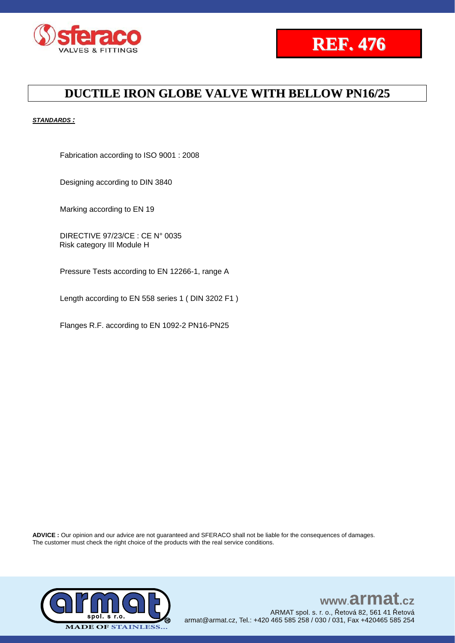



#### *STANDARDS :*

Fabrication according to ISO 9001 : 2008

Designing according to DIN 3840

Marking according to EN 19

DIRECTIVE 97/23/CE : CE N° 0035 Risk category III Module H

Pressure Tests according to EN 12266-1, range A

Length according to EN 558 series 1 ( DIN 3202 F1 )

Flanges R.F. according to EN 1092-2 PN16-PN25

**ADVICE :** Our opinion and our advice are not guaranteed and SFERACO shall not be liable for the consequences of damages. The customer must check the right choice of the products with the real service conditions.



### www.armat.cz ARMAT spol. s. r. o., Řetová 82, 561 41 Řetová armat@armat.cz, Tel.: +420 465 585 258 / 030 / 031, Fax +420465 585 254